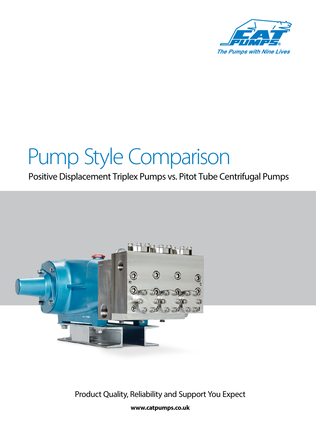

# Pump Style Comparison

### Positive Displacement Triplex Pumps vs. Pitot Tube Centrifugal Pumps



**www.catpumps.co.uk** Product Quality, Reliability and Support You Expect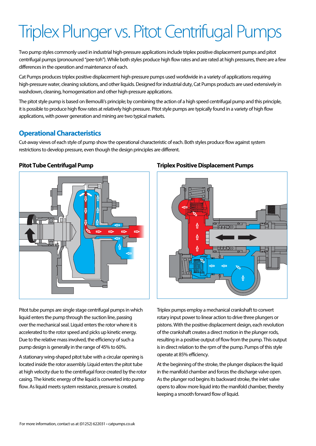## Triplex Plunger vs. Pitot Centrifugal Pumps

Two pump styles commonly used in industrial high-pressure applications include triplex positive displacement pumps and pitot centrifugal pumps (pronounced "pee-toh"). While both styles produce high flow rates and are rated at high pressures, there are a few differences in the operation and maintenance of each.

Cat Pumps produces triplex positive displacement high-pressure pumps used worldwide in a variety of applications requiring high-pressure water, cleaning solutions, and other liquids. Designed for industrial duty, Cat Pumps products are used extensively in washdown, cleaning, homogenisation and other high-pressure applications.

The pitot style pump is based on Bernoulli's principle; by combining the action of a high speed centrifugal pump and this principle, it is possible to produce high flow rates at relatively high pressure. Pitot style pumps are typically found in a variety of high flow applications, with power generation and mining are two typical markets.

### **Operational Characteristics**

Cut-away views of each style of pump show the operational characteristic of each. Both styles produce flow against system restrictions to develop pressure, even though the design principles are different.



Pitot tube pumps are single stage centrifugal pumps in which liquid enters the pump through the suction line, passing over the mechanical seal. Liquid enters the rotor where it is accelerated to the rotor speed and picks up kinetic energy. Due to the relative mass involved, the efficiency of such a pump design is generally in the range of 45% to 60%.

A stationary wing-shaped pitot tube with a circular opening is located inside the rotor assembly. Liquid enters the pitot tube at high velocity due to the centrifugal force created by the rotor casing. The kinetic energy of the liquid is converted into pump flow. As liquid meets system resistance, pressure is created.

#### **Pitot Tube Centrifugal Pump Triplex Positive Displacement Pumps**



Triplex pumps employ a mechanical crankshaft to convert rotary input power to linear action to drive three plungers or pistons. With the positive displacement design, each revolution of the crankshaft creates a direct motion in the plunger rods, resulting in a positive output of flow from the pump. This output is in direct relation to the rpm of the pump. Pumps of this style operate at 85% efficiency.

At the beginning of the stroke, the plunger displaces the liquid in the manifold chamber and forces the discharge valve open. As the plunger rod begins its backward stroke, the inlet valve opens to allow more liquid into the manifold chamber, thereby keeping a smooth forward flow of liquid.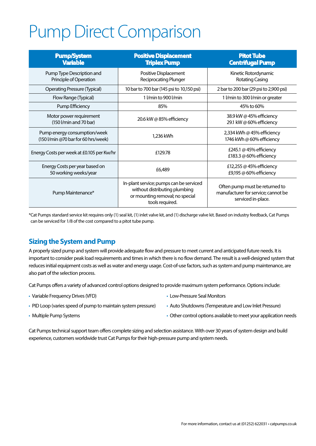## Pump Direct Comparison

| <b>Pump/System</b><br><b>Variable</b>                               | <b>Positive Displacement</b><br><b>Triplex Pump</b>                                                                            | <b>Pitot Tube</b><br><b>Centrifugal Pump</b>                                                |
|---------------------------------------------------------------------|--------------------------------------------------------------------------------------------------------------------------------|---------------------------------------------------------------------------------------------|
| Pump Type Description and<br>Principle of Operation                 | Positive Displacement<br>Reciprocating Plunger                                                                                 | Kinetic Rotordynamic<br>Rotating Casing                                                     |
| <b>Operating Pressure (Typical)</b>                                 | 10 bar to 700 bar (145 psi to 10,150 psi)                                                                                      | 2 bar to 200 bar (29 psi to 2,900 psi)                                                      |
| Flow Range (Typical)                                                | 1 I/min to 900 I/min                                                                                                           | 1 I/min to 300 I/min or greater                                                             |
| Pump Efficiency                                                     | 85%                                                                                                                            | 45% to 60%                                                                                  |
| Motor power requirement<br>(150 l/min and 70 bar)                   | 20.6 kW @ $85%$ efficiency                                                                                                     | 38.9 kW @ 45% efficiency<br>29.1 kW @ 60% efficiency                                        |
| Pump energy consumption/week<br>(150 l/min @70 bar for 60 hrs/week) | 1,236 kWh                                                                                                                      | 2,334 kWh @ 45% efficiency<br>1746 kWh @ 60% efficiency                                     |
| Energy Costs per week at £0.105 per Kw/hr                           | £129.78                                                                                                                        | £245.1 @ 45% efficiency<br>£183.3 @ 60% efficiency                                          |
| Energy Costs per year based on<br>50 working weeks/year             | £6,489                                                                                                                         | £12,255 @ 45% efficiency<br>£9,195 @ 60% efficiency                                         |
| Pump Maintenance*                                                   | In-plant service; pumps can be serviced<br>without distributing plumbing<br>or mounting removal; no special<br>tools required. | Often pump must be returned to<br>manufacturer for service; cannot be<br>serviced in-place. |

\*Cat Pumps standard service kit requires only (1) seal kit, (1) inlet valve kit, and (1) discharge valve kit. Based on industry feedback, Cat Pumps can be serviced for 1/8 of the cost compared to a pitot tube pump.

### **Sizing the System and Pump**

A properly sized pump and system will provide adequate flow and pressure to meet current and anticipated future needs. It is important to consider peak load requirements and times in which there is no flow demand. The result is a well-designed system that reduces initial equipment costs as well as water and energy usage. Cost-of-use factors, such as system and pump maintenance, are also part of the selection process.

Cat Pumps offers a variety of advanced control options designed to provide maximum system performance. Options include:

• Variable Frequency Drives (VFD)

- Low-Pressure Seal Monitors
- PID Loop (varies speed of pump to maintain system pressure)
- Multiple Pump Systems
- Auto Shutdowns (Temperature and Low Inlet Pressure)
- Other control options available to meet your application needs

Cat Pumps technical support team offers complete sizing and selection assistance. With over 30 years of system design and build experience, customers worldwide trust Cat Pumps for their high-pressure pump and system needs.